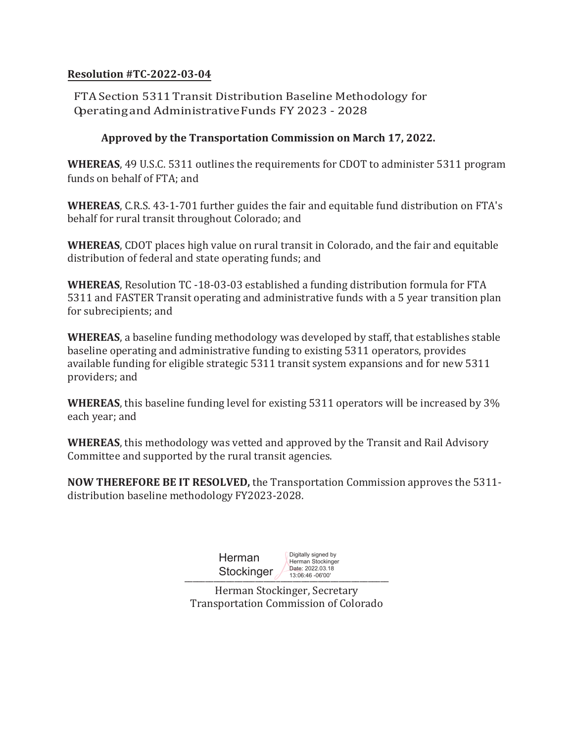## **Resolution #TC-2022-03-04**

FTA Section 5311 Transit Distribution Baseline Methodology for Operating and Administrative Funds FY 2023 - 2028

## **Approved by the Transportation Commission on March 17, 2022.**

**WHEREAS**, 49 U.S.C. 5311 outlines the requirements for CDOT to administer 5311 program funds on behalf of FTA; and

**WHEREAS**, C.R.S. 43-1-701 further guides the fair and equitable fund distribution on FTA's behalf for rural transit throughout Colorado; and

**WHEREAS**, CDOT places high value on rural transit in Colorado, and the fair and equitable distribution of federal and state operating funds; and

**WHEREAS**, Resolution TC -18-03-03 established a funding distribution formula for FTA 5311 and FASTER Transit operating and administrative funds with a 5 year transition plan for subrecipients; and

**WHEREAS**, a baseline funding methodology was developed by staff, that establishes stable baseline operating and administrative funding to existing 5311 operators, provides available funding for eligible strategic 5311 transit system expansions and for new 5311 providers; and

**WHEREAS**, this baseline funding level for existing 5311 operators will be increased by 3% each year; and

**WHEREAS**, this methodology was vetted and approved by the Transit and Rail Advisory Committee and supported by the rural transit agencies.

**NOW THEREFORE BE IT RESOLVED,** the Transportation Commission approves the 5311 distribution baseline methodology FY2023-2028.

| Herman<br>Stockinger | Digitally signed by<br>Herman Stockinger<br>Date: 2022.03.18<br>13:06:46 -06'00' |
|----------------------|----------------------------------------------------------------------------------|
|----------------------|----------------------------------------------------------------------------------|

Herman Stockinger, Secretary Transportation Commission of Colorado